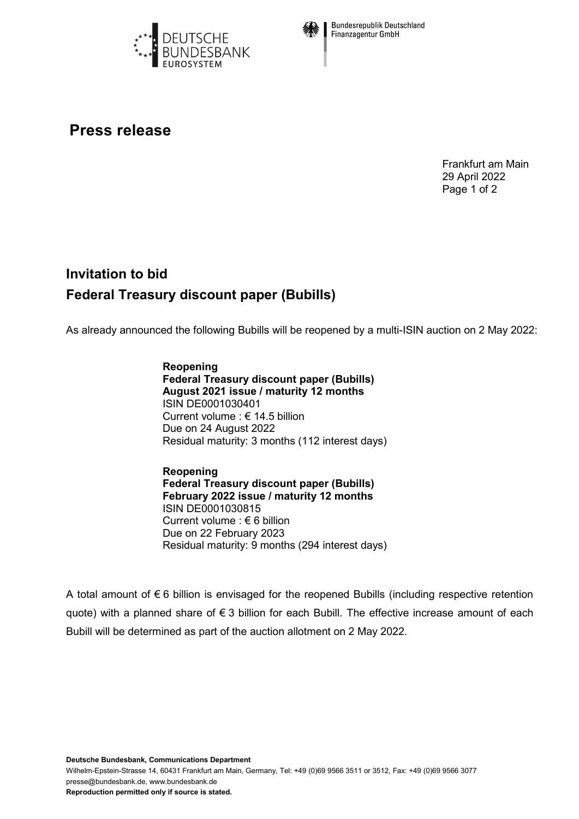



**Bundesrepublik Deutschland Finanzagentur GmbH** 

## **Press release**

Frankfurt am Main 29 April 2022 Page 1 of 2

## **Invitation to bid Federal Treasury discount paper (Bubills)**

As already announced the following Bubills will be reopened by a multi-ISIN auction on 2 May 2022:

**Reopening Federal Treasury discount paper (Bubills) August 2021 issue / maturity 12 months** ISIN DE0001030401 Current volume : € 14.5 billion Due on 24 August 2022 Residual maturity: 3 months (112 interest days)

**Reopening Federal Treasury discount paper (Bubills) February 2022 issue / maturity 12 months** ISIN DE0001030815 Current volume : € 6 billion Due on 22 February 2023 Residual maturity: 9 months (294 interest days)

A total amount of € 6 billion is envisaged for the reopened Bubills (including respective retention quote) with a planned share of € 3 billion for each Bubill. The effective increase amount of each Bubill will be determined as part of the auction allotment on 2 May 2022.

**Deutsche Bundesbank, Communications Department**

Wilhelm-Epstein-Strasse 14, 60431 Frankfurt am Main, Germany, Tel: +49 (0)69 9566 3511 or 3512, Fax: +49 (0)69 9566 3077 presse@bundesbank.de, www.bundesbank.de